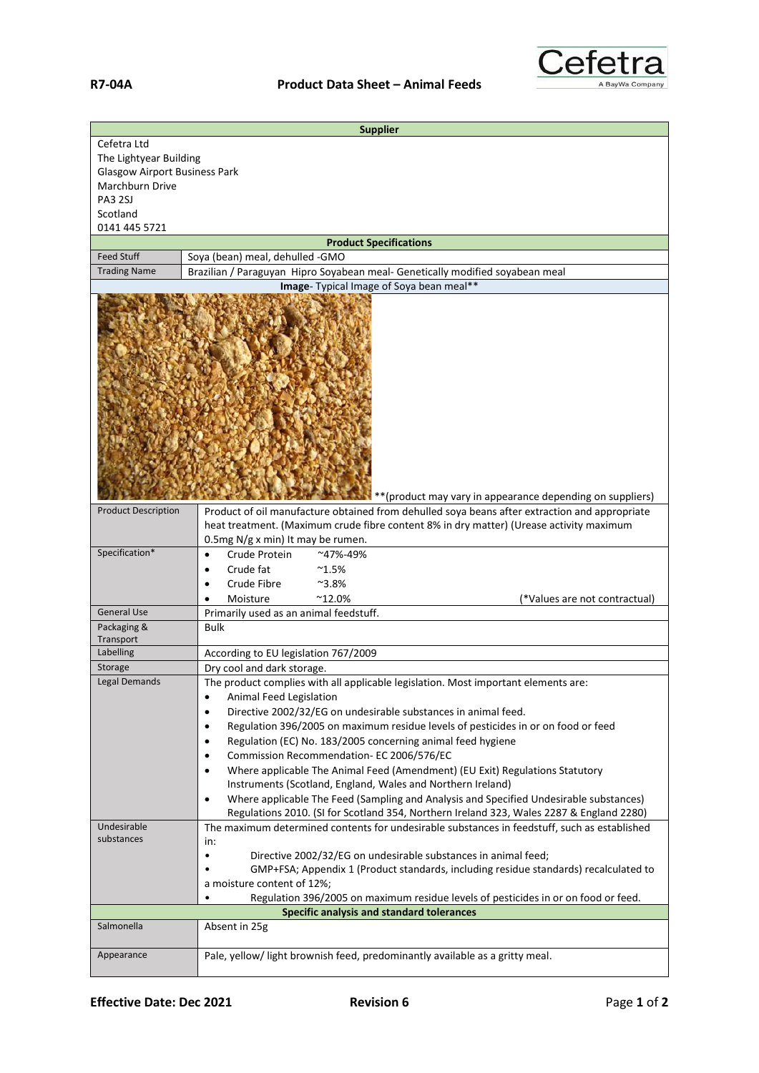

| <b>Supplier</b>                                                                                                                                                                                                                                                                      |                                                                                                                                                                                                                                                                                                                                                                                                                                             |  |
|--------------------------------------------------------------------------------------------------------------------------------------------------------------------------------------------------------------------------------------------------------------------------------------|---------------------------------------------------------------------------------------------------------------------------------------------------------------------------------------------------------------------------------------------------------------------------------------------------------------------------------------------------------------------------------------------------------------------------------------------|--|
| Cefetra Ltd<br>The Lightyear Building                                                                                                                                                                                                                                                |                                                                                                                                                                                                                                                                                                                                                                                                                                             |  |
| <b>Glasgow Airport Business Park</b>                                                                                                                                                                                                                                                 |                                                                                                                                                                                                                                                                                                                                                                                                                                             |  |
| Marchburn Drive                                                                                                                                                                                                                                                                      |                                                                                                                                                                                                                                                                                                                                                                                                                                             |  |
| <b>PA3 2SJ</b>                                                                                                                                                                                                                                                                       |                                                                                                                                                                                                                                                                                                                                                                                                                                             |  |
| Scotland                                                                                                                                                                                                                                                                             |                                                                                                                                                                                                                                                                                                                                                                                                                                             |  |
| 0141 445 5721                                                                                                                                                                                                                                                                        |                                                                                                                                                                                                                                                                                                                                                                                                                                             |  |
| <b>Product Specifications</b>                                                                                                                                                                                                                                                        |                                                                                                                                                                                                                                                                                                                                                                                                                                             |  |
| <b>Feed Stuff</b>                                                                                                                                                                                                                                                                    | Soya (bean) meal, dehulled -GMO                                                                                                                                                                                                                                                                                                                                                                                                             |  |
| <b>Trading Name</b>                                                                                                                                                                                                                                                                  | Brazilian / Paraguyan Hipro Soyabean meal- Genetically modified soyabean meal<br>Image- Typical Image of Soya bean meal**                                                                                                                                                                                                                                                                                                                   |  |
| ** (product may vary in appearance depending on suppliers)<br><b>Product Description</b><br>Product of oil manufacture obtained from dehulled soya beans after extraction and appropriate<br>heat treatment. (Maximum crude fibre content 8% in dry matter) (Urease activity maximum |                                                                                                                                                                                                                                                                                                                                                                                                                                             |  |
|                                                                                                                                                                                                                                                                                      | 0.5mg N/g x min) It may be rumen.                                                                                                                                                                                                                                                                                                                                                                                                           |  |
| Specification*                                                                                                                                                                                                                                                                       | Crude Protein<br>~47%-49%<br>Crude fat<br>$^{\sim}1.5\%$<br>Crude Fibre<br>$^{\sim}3.8\%$<br>Moisture<br>$^{\sim}$ 12.0%<br>(*Values are not contractual)                                                                                                                                                                                                                                                                                   |  |
| <b>General Use</b>                                                                                                                                                                                                                                                                   | Primarily used as an animal feedstuff.                                                                                                                                                                                                                                                                                                                                                                                                      |  |
| Packaging &                                                                                                                                                                                                                                                                          | <b>Bulk</b>                                                                                                                                                                                                                                                                                                                                                                                                                                 |  |
| Transport                                                                                                                                                                                                                                                                            |                                                                                                                                                                                                                                                                                                                                                                                                                                             |  |
| Labelling                                                                                                                                                                                                                                                                            | According to EU legislation 767/2009                                                                                                                                                                                                                                                                                                                                                                                                        |  |
| Storage<br>Legal Demands                                                                                                                                                                                                                                                             | Dry cool and dark storage.<br>The product complies with all applicable legislation. Most important elements are:                                                                                                                                                                                                                                                                                                                            |  |
|                                                                                                                                                                                                                                                                                      | Animal Feed Legislation<br>$\bullet$<br>Directive 2002/32/EG on undesirable substances in animal feed.<br>٠<br>Regulation 396/2005 on maximum residue levels of pesticides in or on food or feed<br>٠<br>Regulation (EC) No. 183/2005 concerning animal feed hygiene<br>$\bullet$<br>Commission Recommendation- EC 2006/576/EC<br>$\bullet$<br>Where applicable The Animal Feed (Amendment) (EU Exit) Regulations Statutory<br>$\bullet$    |  |
|                                                                                                                                                                                                                                                                                      | Instruments (Scotland, England, Wales and Northern Ireland)<br>Where applicable The Feed (Sampling and Analysis and Specified Undesirable substances)<br>٠<br>Regulations 2010. (SI for Scotland 354, Northern Ireland 323, Wales 2287 & England 2280)                                                                                                                                                                                      |  |
| Undesirable<br>substances                                                                                                                                                                                                                                                            | The maximum determined contents for undesirable substances in feedstuff, such as established<br>in:<br>Directive 2002/32/EG on undesirable substances in animal feed;<br>$\bullet$<br>GMP+FSA; Appendix 1 (Product standards, including residue standards) recalculated to<br>a moisture content of 12%;<br>Regulation 396/2005 on maximum residue levels of pesticides in or on food or feed.<br>Specific analysis and standard tolerances |  |
| Salmonella                                                                                                                                                                                                                                                                           | Absent in 25g                                                                                                                                                                                                                                                                                                                                                                                                                               |  |
|                                                                                                                                                                                                                                                                                      |                                                                                                                                                                                                                                                                                                                                                                                                                                             |  |
| Appearance                                                                                                                                                                                                                                                                           | Pale, yellow/ light brownish feed, predominantly available as a gritty meal.                                                                                                                                                                                                                                                                                                                                                                |  |